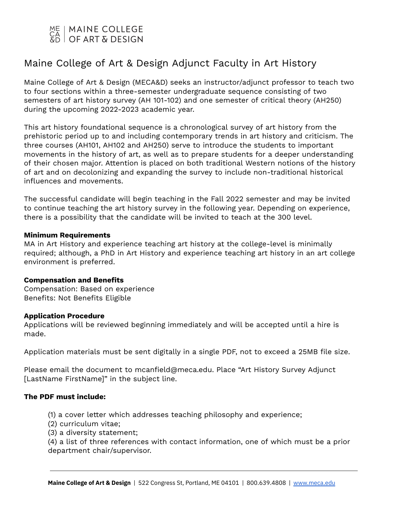# | MAINE COLLEGE OF ART & DESIGN

# Maine College of Art & Design Adjunct Faculty in Art History

Maine College of Art & Design (MECA&D) seeks an instructor/adjunct professor to teach two to four sections within a three-semester undergraduate sequence consisting of two semesters of art history survey (AH 101-102) and one semester of critical theory (AH250) during the upcoming 2022-2023 academic year.

This art history foundational sequence is a chronological survey of art history from the prehistoric period up to and including contemporary trends in art history and criticism. The three courses (AH101, AH102 and AH250) serve to introduce the students to important movements in the history of art, as well as to prepare students for a deeper understanding of their chosen major. Attention is placed on both traditional Western notions of the history of art and on decolonizing and expanding the survey to include non-traditional historical influences and movements.

The successful candidate will begin teaching in the Fall 2022 semester and may be invited to continue teaching the art history survey in the following year. Depending on experience, there is a possibility that the candidate will be invited to teach at the 300 level.

## **Minimum Requirements**

MA in Art History and experience teaching art history at the college-level is minimally required; although, a PhD in Art History and experience teaching art history in an art college environment is preferred.

## **Compensation and Benefits**

Compensation: Based on experience Benefits: Not Benefits Eligible

## **Application Procedure**

Applications will be reviewed beginning immediately and will be accepted until a hire is made.

Application materials must be sent digitally in a single PDF, not to exceed a 25MB file size.

Please email the document to mcanfield@meca.edu. Place "Art History Survey Adjunct [LastName FirstName]" in the subject line.

# **The PDF must include:**

- (1) a cover letter which addresses teaching philosophy and experience;
- (2) curriculum vitae;
- (3) a diversity statement;

(4) a list of three references with contact information, one of which must be a prior department chair/supervisor.